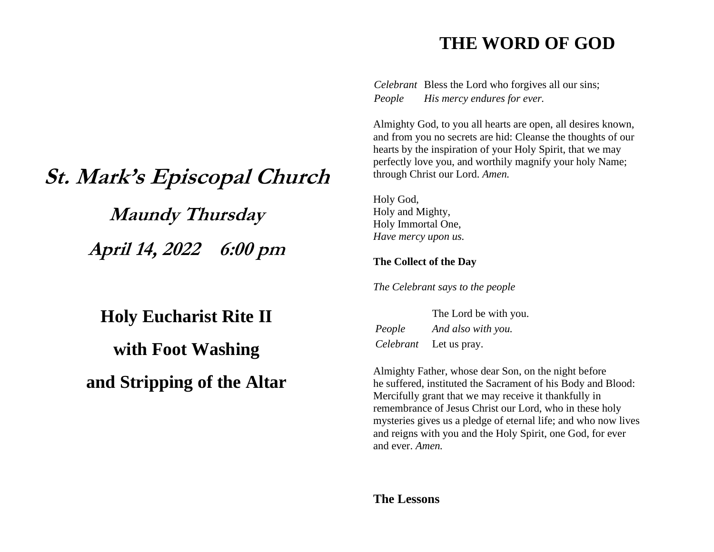### **THE WORD OF GOD**

*Celebrant* Bless the Lord who forgives all our sins; *People His mercy endures for ever.*

Almighty God, to you all hearts are open, all desires known, and from you no secrets are hid: Cleanse the thoughts of our hearts by the inspiration of your Holy Spirit, that we may perfectly love you, and worthily magnify your holy Name; through Christ our Lord. *Amen.*

Holy God, Holy and Mighty, Holy Immortal One, *Have mercy upon us.* 

#### **The Collect of the Day**

*The Celebrant says to the people*

 The Lord be with you. *People And also with you. Celebrant* Let us pray.

Almighty Father, whose dear Son, on the night before he suffered, instituted the Sacrament of his Body and Blood: Mercifully grant that we may receive it thankfully in remembrance of Jesus Christ our Lord, who in these holy mysteries gives us a pledge of eternal life; and who now lives and reigns with you and the Holy Spirit, one God, for ever and ever. *Amen.*

#### **The Lessons**

# **St. Mark's Episcopal Church Maundy Thursday April 14, 2022 6:00 pm**

# **Holy Eucharist Rite II**

# **with Foot Washing**

# **and Stripping of the Altar**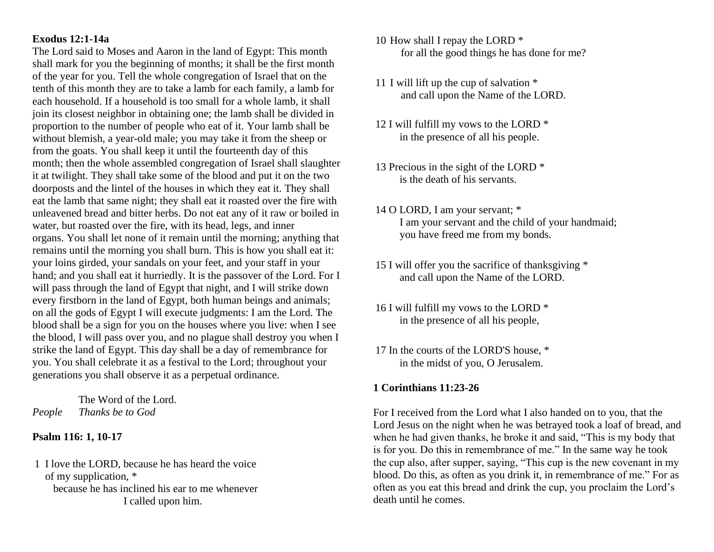#### **Exodus 12:1-14a**

The Lord said to Moses and Aaron in the land of Egypt: This month shall mark for you the beginning of months; it shall be the first month of the year for you. Tell the whole congregation of Israel that on the tenth of this month they are to take a lamb for each family, a lamb for each household. If a household is too small for a whole lamb, it shall join its closest neighbor in obtaining one; the lamb shall be divided in proportion to the number of people who eat of it. Your lamb shall be without blemish, a year-old male; you may take it from the sheep or from the goats. You shall keep it until the fourteenth day of this month; then the whole assembled congregation of Israel shall slaughter it at twilight. They shall take some of the blood and put it on the two doorposts and the lintel of the houses in which they eat it. They shall eat the lamb that same night; they shall eat it roasted over the fire with unleavened bread and bitter herbs. Do not eat any of it raw or boiled in water, but roasted over the fire, with its head, legs, and inner organs. You shall let none of it remain until the morning; anything that remains until the morning you shall burn. This is how you shall eat it: your loins girded, your sandals on your feet, and your staff in your hand; and you shall eat it hurriedly. It is the passover of the Lord. For I will pass through the land of Egypt that night, and I will strike down every firstborn in the land of Egypt, both human beings and animals; on all the gods of Egypt I will execute judgments: I am the Lord. The blood shall be a sign for you on the houses where you live: when I see the blood, I will pass over you, and no plague shall destroy you when I strike the land of Egypt. This day shall be a day of remembrance for you. You shall celebrate it as a festival to the Lord; throughout your generations you shall observe it as a perpetual ordinance.

 The Word of the Lord. *People Thanks be to God*

#### **Psalm 116: 1, 10-17**

1 I love the LORD, because he has heard the voice of my supplication, \* because he has inclined his ear to me whenever I called upon him.

10 How shall I repay the LORD \* for all the good things he has done for me?

- 11 I will lift up the cup of salvation \* and call upon the Name of the LORD.
- 12 I will fulfill my vows to the LORD \* in the presence of all his people.
- 13 Precious in the sight of the LORD \* is the death of his servants.
- 14 O LORD, I am your servant; \* I am your servant and the child of your handmaid; you have freed me from my bonds.
- 15 I will offer you the sacrifice of thanksgiving \* and call upon the Name of the LORD.
- 16 I will fulfill my vows to the LORD \* in the presence of all his people,
- 17 In the courts of the LORD'S house, \* in the midst of you, O Jerusalem.

#### **1 Corinthians 11:23-26**

For I received from the Lord what I also handed on to you, that the Lord Jesus on the night when he was betrayed took a loaf of bread, and when he had given thanks, he broke it and said, "This is my body that is for you. Do this in remembrance of me." In the same way he took the cup also, after supper, saying, "This cup is the new covenant in my blood. Do this, as often as you drink it, in remembrance of me." For as often as you eat this bread and drink the cup, you proclaim the Lord's death until he comes.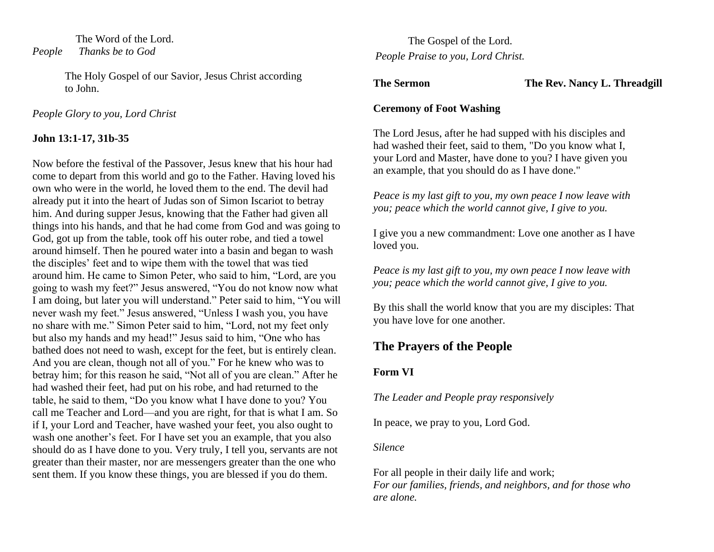The Word of the Lord. *People Thanks be to God*

> The Holy Gospel of our Savior, Jesus Christ according to John.

*People Glory to you, Lord Christ*

#### **John 13:1-17, 31b-35**

Now before the festival of the Passover, Jesus knew that his hour had come to depart from this world and go to the Father. Having loved his own who were in the world, he loved them to the end. The devil had already put it into the heart of Judas son of Simon Iscariot to betray him. And during supper Jesus, knowing that the Father had given all things into his hands, and that he had come from God and was going to God, got up from the table, took off his outer robe, and tied a towel around himself. Then he poured water into a basin and began to wash the disciples' feet and to wipe them with the towel that was tied around him. He came to Simon Peter, who said to him, "Lord, are you going to wash my feet?" Jesus answered, "You do not know now what I am doing, but later you will understand." Peter said to him, "You will never wash my feet." Jesus answered, "Unless I wash you, you have no share with me." Simon Peter said to him, "Lord, not my feet only but also my hands and my head!" Jesus said to him, "One who has bathed does not need to wash, except for the feet, but is entirely clean. And you are clean, though not all of you." For he knew who was to betray him; for this reason he said, "Not all of you are clean." After he had washed their feet, had put on his robe, and had returned to the table, he said to them, "Do you know what I have done to you? You call me Teacher and Lord—and you are right, for that is what I am. So if I, your Lord and Teacher, have washed your feet, you also ought to wash one another's feet. For I have set you an example, that you also should do as I have done to you. Very truly, I tell you, servants are not greater than their master, nor are messengers greater than the one who sent them. If you know these things, you are blessed if you do them.

The Gospel of the Lord. *People Praise to you, Lord Christ.*

**The Sermon** The Rev. Nancy L. Threadgill

#### **Ceremony of Foot Washing**

The Lord Jesus, after he had supped with his disciples and had washed their feet, said to them, "Do you know what I, your Lord and Master, have done to you? I have given you an example, that you should do as I have done."

*Peace is my last gift to you, my own peace I now leave with you; peace which the world cannot give, I give to you.*

I give you a new commandment: Love one another as I have loved you.

*Peace is my last gift to you, my own peace I now leave with you; peace which the world cannot give, I give to you.*

By this shall the world know that you are my disciples: That you have love for one another.

### **The Prayers of the People**

#### **Form VI**

*The Leader and People pray responsively*

In peace, we pray to you, Lord God.

#### *Silence*

For all people in their daily life and work; *For our families, friends, and neighbors, and for those who are alone.*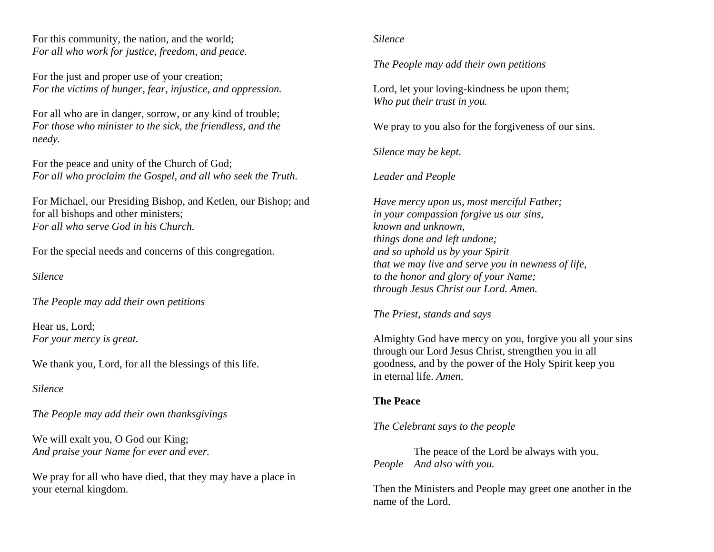For this community, the nation, and the world; *For all who work for justice, freedom, and peace.*

For the just and proper use of your creation; *For the victims of hunger, fear, injustice, and oppression.*

For all who are in danger, sorrow, or any kind of trouble; *For those who minister to the sick, the friendless, and the needy.*

For the peace and unity of the Church of God; *For all who proclaim the Gospel, and all who seek the Truth.*

For Michael, our Presiding Bishop, and Ketlen, our Bishop; and for all bishops and other ministers; *For all who serve God in his Church.*

For the special needs and concerns of this congregation.

*Silence*

*The People may add their own petitions*

Hear us, Lord; *For your mercy is great.*

We thank you, Lord, for all the blessings of this life.

*Silence*

*The People may add their own thanksgivings*

We will exalt you, O God our King; *And praise your Name for ever and ever.*

We pray for all who have died, that they may have a place in your eternal kingdom.

#### *Silence*

*The People may add their own petitions*

Lord, let your loving-kindness be upon them; *Who put their trust in you.*

We pray to you also for the forgiveness of our sins.

*Silence may be kept.*

*Leader and People*

*Have mercy upon us, most merciful Father; in your compassion forgive us our sins, known and unknown, things done and left undone; and so uphold us by your Spirit that we may live and serve you in newness of life, to the honor and glory of your Name; through Jesus Christ our Lord. Amen.*

*The Priest, stands and says*

Almighty God have mercy on you, forgive you all your sins through our Lord Jesus Christ, strengthen you in all goodness, and by the power of the Holy Spirit keep you in eternal life. *Amen.*

#### **The Peace**

*The Celebrant says to the people*

 The peace of the Lord be always with you. *People And also with you.*

Then the Ministers and People may greet one another in the name of the Lord.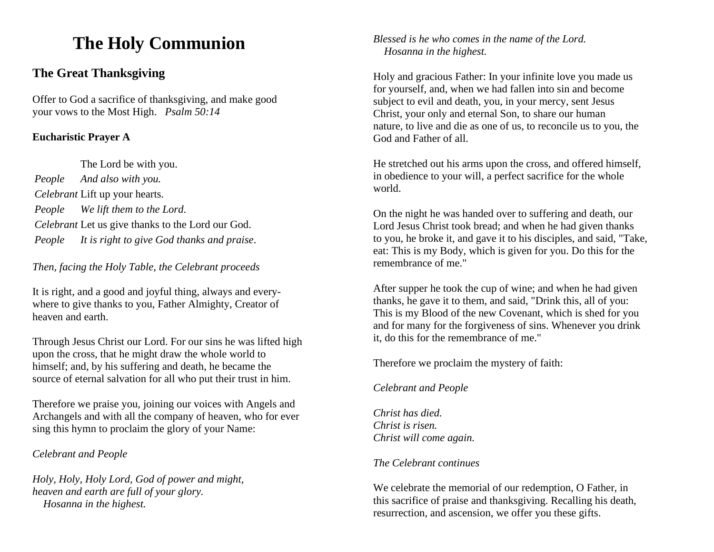## **The Holy Communion**

#### **The Great Thanksgiving**

Offer to God a sacrifice of thanksgiving, and make good your vows to the Most High. *Psalm 50:14*

#### **Eucharistic Prayer A**

The Lord be with you. *People And also with you. Celebrant* Lift up your hearts. *People We lift them to the Lord*. *Celebrant* Let us give thanks to the Lord our God. *People It is right to give God thanks and praise*.

#### *Then, facing the Holy Table, the Celebrant proceeds*

It is right, and a good and joyful thing, always and everywhere to give thanks to you, Father Almighty, Creator of heaven and earth.

Through Jesus Christ our Lord. For our sins he was lifted high upon the cross, that he might draw the whole world to himself; and, by his suffering and death, he became the source of eternal salvation for all who put their trust in him.

Therefore we praise you, joining our voices with Angels and Archangels and with all the company of heaven, who for ever sing this hymn to proclaim the glory of your Name:

#### *Celebrant and People*

*Holy, Holy, Holy Lord, God of power and might, heaven and earth are full of your glory. Hosanna in the highest.*

*Blessed is he who comes in the name of the Lord. Hosanna in the highest.*

Holy and gracious Father: In your infinite love you made us for yourself, and, when we had fallen into sin and become subject to evil and death, you, in your mercy, sent Jesus Christ, your only and eternal Son, to share our human nature, to live and die as one of us, to reconcile us to you, the God and Father of all.

He stretched out his arms upon the cross, and offered himself, in obedience to your will, a perfect sacrifice for the whole world.

On the night he was handed over to suffering and death, our Lord Jesus Christ took bread; and when he had given thanks to you, he broke it, and gave it to his disciples, and said, "Take, eat: This is my Body, which is given for you. Do this for the remembrance of me."

After supper he took the cup of wine; and when he had given thanks, he gave it to them, and said, "Drink this, all of you: This is my Blood of the new Covenant, which is shed for you and for many for the forgiveness of sins. Whenever you drink it, do this for the remembrance of me."

Therefore we proclaim the mystery of faith:

#### *Celebrant and People*

*Christ has died. Christ is risen. Christ will come again.*

#### *The Celebrant continues*

We celebrate the memorial of our redemption, O Father, in this sacrifice of praise and thanksgiving. Recalling his death, resurrection, and ascension, we offer you these gifts.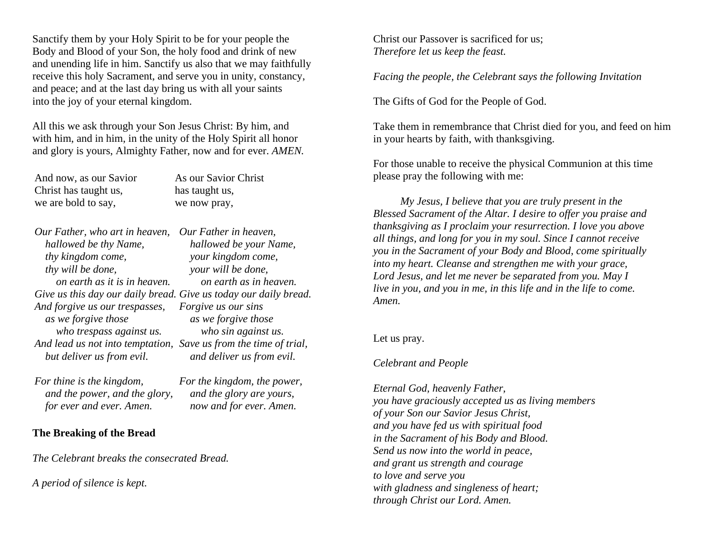Sanctify them by your Holy Spirit to be for your people the Body and Blood of your Son, the holy food and drink of new and unending life in him. Sanctify us also that we may faithfully receive this holy Sacrament, and serve you in unity, constancy, and peace; and at the last day bring us with all your saints into the joy of your eternal kingdom.

All this we ask through your Son Jesus Christ: By him, and with him, and in him, in the unity of the Holy Spirit all honor and glory is yours, Almighty Father, now and for ever. *AMEN.*

our Savior Christ

 *on earth as in heaven.*

 *who sin against us.*

*For the kingdom, the power, and the glory are yours, now and for ever. Amen.*

| And now, as our Savior | As our Savior  |
|------------------------|----------------|
| Christ has taught us,  | has taught us, |
| we are bold to say,    | we now pray,   |

*Our Father, who art in heaven, hallowed be thy Name, thy kingdom come, thy will be done, on earth as it is in heaven. Give us this day our daily bread. Give us today our daily bread. And forgive us our trespasses, as we forgive those who trespass against us. And lead us not into temptation, Save us from the time of trial, but deliver us from evil. Our Father in heaven, hallowed be your Name, your kingdom come, your will be done, Forgive us our sins as we forgive those and deliver us from evil.*

*For thine is the kingdom, and the power, and the glory, for ever and ever. Amen.*

#### **The Breaking of the Bread**

*The Celebrant breaks the consecrated Bread.*

*A period of silence is kept.*

Christ our Passover is sacrificed for us; *Therefore let us keep the feast.*

*Facing the people, the Celebrant says the following Invitation*

The Gifts of God for the People of God.

Take them in remembrance that Christ died for you, and feed on him in your hearts by faith, with thanksgiving.

For those unable to receive the physical Communion at this time please pray the following with me:

 *My Jesus, I believe that you are truly present in the Blessed Sacrament of the Altar. I desire to offer you praise and thanksgiving as I proclaim your resurrection. I love you above all things, and long for you in my soul. Since I cannot receive you in the Sacrament of your Body and Blood, come spiritually into my heart. Cleanse and strengthen me with your grace, Lord Jesus, and let me never be separated from you. May I live in you, and you in me, in this life and in the life to come. Amen.*

#### Let us pray.

#### *Celebrant and People*

*Eternal God, heavenly Father, you have graciously accepted us as living members of your Son our Savior Jesus Christ, and you have fed us with spiritual food in the Sacrament of his Body and Blood. Send us now into the world in peace, and grant us strength and courage to love and serve you with gladness and singleness of heart; through Christ our Lord. Amen.*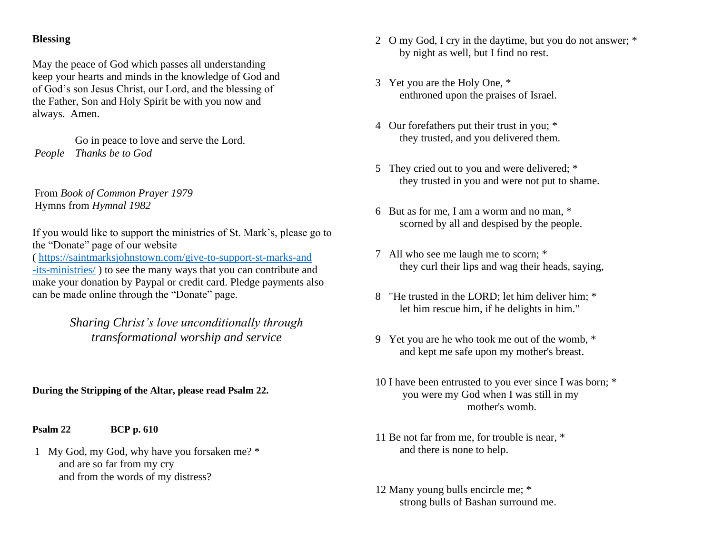#### **Blessing**

May the peace of God which passes all understanding keep your hearts and minds in the knowledge of God and of God's son Jesus Christ, our Lord, and the blessing of the Father, Son and Holy Spirit be with you now and always. Amen.

 Go in peace to love and serve the Lord. *People Thanks be to God*

From *Book of Common Prayer 1979* Hymns from *Hymnal 1982* 

If you would like to support the ministries of St. Mark's, please go to the "Donate" page of our website

(<https://saintmarksjohnstown.com/give-to-support-st-marks-and> [-its-ministries/](https://saintmarksjohnstown.com/give-to-support-st-marks-and) ) to see the many ways that you can contribute and make your donation by Paypal or credit card. Pledge payments also can be made online through the "Donate" page.

> *Sharing Christ's love unconditionally through transformational worship and service*

**During the Stripping of the Altar, please read Psalm 22.**

**Psalm 22 BCP p. 610**

1 My God, my God, why have you forsaken me? \* and are so far from my cry and from the words of my distress?

- 2 O my God, I cry in the daytime, but you do not answer; \* by night as well, but I find no rest.
- 3 Yet you are the Holy One, \* enthroned upon the praises of Israel.
- 4 Our forefathers put their trust in you; \* they trusted, and you delivered them.
- 5 They cried out to you and were delivered; \* they trusted in you and were not put to shame.
- 6 But as for me, I am a worm and no man, \* scorned by all and despised by the people.
- 7 All who see me laugh me to scorn; \* they curl their lips and wag their heads, saying,
- 8 "He trusted in the LORD; let him deliver him; \* let him rescue him, if he delights in him."
- 9 Yet you are he who took me out of the womb, \* and kept me safe upon my mother's breast.
- 10 I have been entrusted to you ever since I was born; \* you were my God when I was still in my mother's womb.
- 11 Be not far from me, for trouble is near, \* and there is none to help.
- 12 Many young bulls encircle me; \* strong bulls of Bashan surround me.